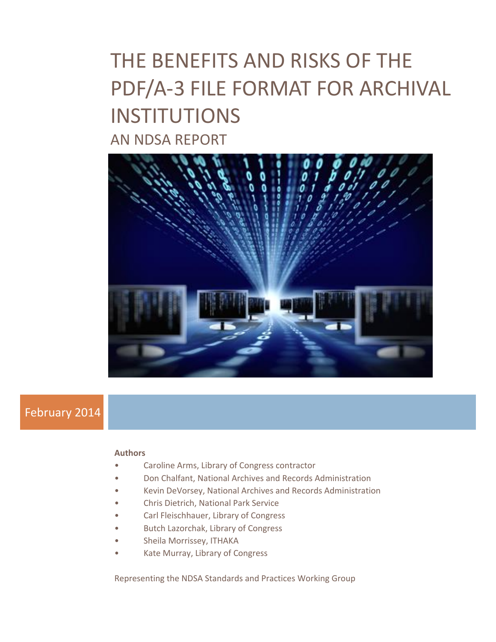

# February 2014

#### **Authors**

- Caroline Arms, Library of Congress contractor
- Don Chalfant, National Archives and Records Administration
- Kevin DeVorsey, National Archives and Records Administration
- Chris Dietrich, National Park Service
- Carl Fleischhauer, Library of Congress
- Butch Lazorchak, Library of Congress
- Sheila Morrissey, ITHAKA
- Kate Murray, Library of Congress

Representing the NDSA Standards and Practices Working Group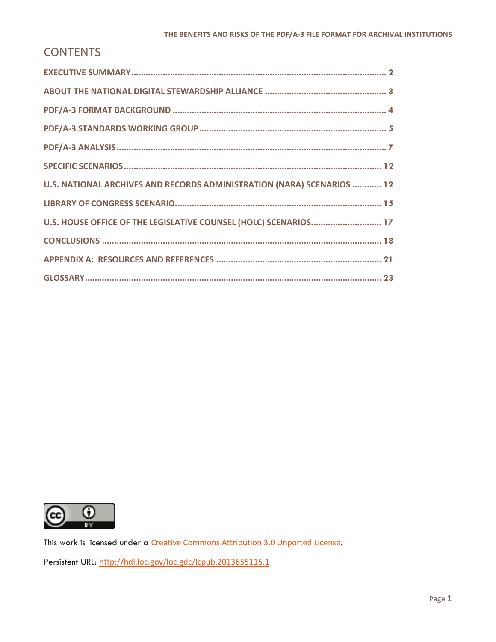# **CONTENTS**

| U.S. NATIONAL ARCHIVES AND RECORDS ADMINISTRATION (NARA) SCENARIOS  12 |
|------------------------------------------------------------------------|
|                                                                        |
| U.S. HOUSE OFFICE OF THE LEGISLATIVE COUNSEL (HOLC) SCENARIOS 17       |
|                                                                        |
|                                                                        |
|                                                                        |



This work is licensed under a [Creative Commons Attribution 3.0 Unported License](http://creativecommons.org/licenses/by/3.0/).

Persistent URL: <http://hdl.loc.gov/loc.gdc/lcpub.2013655115.1>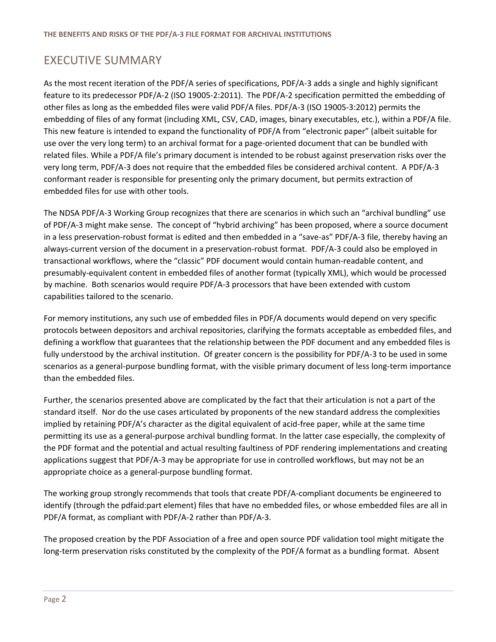# <span id="page-2-0"></span>EXECUTIVE SUMMARY

As the most recent iteration of the PDF/A series of specifications, PDF/A-3 adds a single and highly significant feature to its predecessor PDF/A-2 (ISO 19005-2:2011). The PDF/A-2 specification permitted the embedding of other files as long as the embedded files were valid PDF/A files. PDF/A-3 (ISO 19005-3:2012) permits the embedding of files of any format (including XML, CSV, CAD, images, binary executables, etc.), within a PDF/A file. This new feature is intended to expand the functionality of PDF/A from "electronic paper" (albeit suitable for use over the very long term) to an archival format for a page-oriented document that can be bundled with related files. While a PDF/A file's primary document is intended to be robust against preservation risks over the very long term, PDF/A-3 does not require that the embedded files be considered archival content. A PDF/A-3 conformant reader is responsible for presenting only the primary document, but permits extraction of embedded files for use with other tools.

The NDSA PDF/A-3 Working Group recognizes that there are scenarios in which such an "archival bundling" use of PDF/A-3 might make sense. The concept of "hybrid archiving" has been proposed, where a source document in a less preservation-robust format is edited and then embedded in a "save-as" PDF/A-3 file, thereby having an always-current version of the document in a preservation-robust format. PDF/A-3 could also be employed in transactional workflows, where the "classic" PDF document would contain human-readable content, and presumably-equivalent content in embedded files of another format (typically XML), which would be processed by machine. Both scenarios would require PDF/A-3 processors that have been extended with custom capabilities tailored to the scenario.

For memory institutions, any such use of embedded files in PDF/A documents would depend on very specific protocols between depositors and archival repositories, clarifying the formats acceptable as embedded files, and defining a workflow that guarantees that the relationship between the PDF document and any embedded files is fully understood by the archival institution. Of greater concern is the possibility for PDF/A-3 to be used in some scenarios as a general-purpose bundling format, with the visible primary document of less long-term importance than the embedded files.

Further, the scenarios presented above are complicated by the fact that their articulation is not a part of the standard itself. Nor do the use cases articulated by proponents of the new standard address the complexities implied by retaining PDF/A's character as the digital equivalent of acid-free paper, while at the same time permitting its use as a general-purpose archival bundling format. In the latter case especially, the complexity of the PDF format and the potential and actual resulting faultiness of PDF rendering implementations and creating applications suggest that PDF/A-3 may be appropriate for use in controlled workflows, but may not be an appropriate choice as a general-purpose bundling format.

The working group strongly recommends that tools that create PDF/A-compliant documents be engineered to identify (through the pdfaid:part element) files that have no embedded files, or whose embedded files are all in PDF/A format, as compliant with PDF/A-2 rather than PDF/A-3.

The proposed creation by the PDF Association of a free and open source PDF validation tool might mitigate the long-term preservation risks constituted by the complexity of the PDF/A format as a bundling format. Absent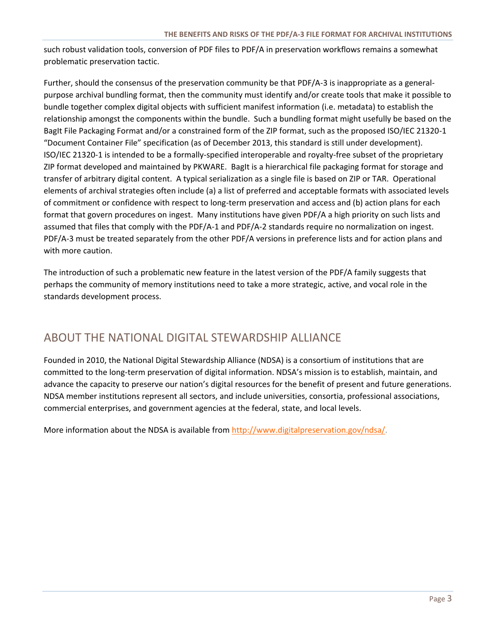such robust validation tools, conversion of PDF files to PDF/A in preservation workflows remains a somewhat problematic preservation tactic.

Further, should the consensus of the preservation community be that PDF/A-3 is inappropriate as a generalpurpose archival bundling format, then the community must identify and/or create tools that make it possible to bundle together complex digital objects with sufficient manifest information (i.e. metadata) to establish the relationship amongst the components within the bundle. Such a bundling format might usefully be based on the BagIt File Packaging Format and/or a constrained form of the ZIP format, such as the proposed ISO/IEC 21320-1 "Document Container File" specification (as of December 2013, this standard is still under development). ISO/IEC 21320-1 is intended to be a formally-specified interoperable and royalty-free subset of the proprietary ZIP format developed and maintained by PKWARE. BagIt is a hierarchical file packaging format for storage and transfer of arbitrary digital content. A typical serialization as a single file is based on ZIP or TAR. Operational elements of archival strategies often include (a) a list of preferred and acceptable formats with associated levels of commitment or confidence with respect to long-term preservation and access and (b) action plans for each format that govern procedures on ingest. Many institutions have given PDF/A a high priority on such lists and assumed that files that comply with the PDF/A-1 and PDF/A-2 standards require no normalization on ingest. PDF/A-3 must be treated separately from the other PDF/A versions in preference lists and for action plans and with more caution.

The introduction of such a problematic new feature in the latest version of the PDF/A family suggests that perhaps the community of memory institutions need to take a more strategic, active, and vocal role in the standards development process.

## <span id="page-3-0"></span>ABOUT THE NATIONAL DIGITAL STEWARDSHIP ALLIANCE

Founded in 2010, the National Digital Stewardship Alliance (NDSA) is a consortium of institutions that are committed to the long-term preservation of digital information. NDSA's mission is to establish, maintain, and advance the capacity to preserve our nation's digital resources for the benefit of present and future generations. NDSA member institutions represent all sectors, and include universities, consortia, professional associations, commercial enterprises, and government agencies at the federal, state, and local levels.

More information about the NDSA is available from [http://www.digitalpreservation.gov/ndsa/.](http://www.digitalpreservation.gov/ndsa/)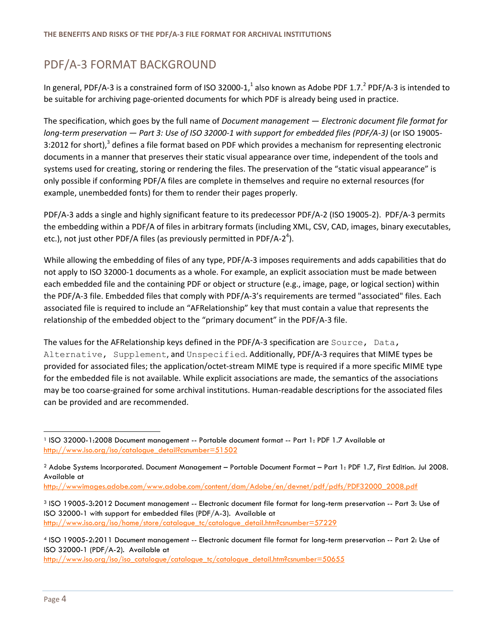# <span id="page-4-0"></span>PDF/A-3 FORMAT BACKGROUND

In general, PDF/A-3 is a constrained form of ISO 32000-1,<sup>1</sup> also known as Adobe PDF 1.7.<sup>2</sup> PDF/A-3 is intended to be suitable for archiving page-oriented documents for which PDF is already being used in practice.

The specification, which goes by the full name of *Document management — Electronic document file format for long-term preservation — Part 3: Use of ISO 32000-1 with support for embedded files (PDF/A-3)* (or ISO 19005- 3:2012 for short),<sup>3</sup> defines a file format based on PDF which provides a mechanism for representing electronic documents in a manner that preserves their static visual appearance over time, independent of the tools and systems used for creating, storing or rendering the files. The preservation of the "static visual appearance" is only possible if conforming PDF/A files are complete in themselves and require no external resources (for example, unembedded fonts) for them to render their pages properly.

PDF/A-3 adds a single and highly significant feature to its predecessor PDF/A-2 (ISO 19005-2). PDF/A-3 permits the embedding within a PDF/A of files in arbitrary formats (including XML, CSV, CAD, images, binary executables, etc.), not just other PDF/A files (as previously permitted in PDF/A-2<sup>4</sup>).

While allowing the embedding of files of any type, PDF/A-3 imposes requirements and adds capabilities that do not apply to ISO 32000-1 documents as a whole. For example, an explicit association must be made between each embedded file and the containing PDF or object or structure (e.g., image, page, or logical section) within the PDF/A-3 file. Embedded files that comply with PDF/A-3's requirements are termed "associated" files. Each associated file is required to include an "AFRelationship" key that must contain a value that represents the relationship of the embedded object to the "primary document" in the PDF/A-3 file.

The values for the AFRelationship keys defined in the PDF/A-3 specification are Source, Data, Alternative, Supplement, and Unspecified. Additionally, PDF/A-3 requires that MIME types be provided for associated files; the application/octet-stream MIME type is required if a more specific MIME type for the embedded file is not available. While explicit associations are made, the semantics of the associations may be too coarse-grained for some archival institutions. Human-readable descriptions for the associated files can be provided and are recommended.

[http://wwwimages.adobe.com/www.adobe.com/content/dam/Adobe/en/devnet/pdf/pdfs/PDF32000\\_2008.pdf](http://wwwimages.adobe.com/www.adobe.com/content/dam/Adobe/en/devnet/pdf/pdfs/PDF32000_2008.pdf) 

l

<sup>1</sup> ISO 32000-1:2008 Document management -- Portable document format -- Part 1: PDF 1.7 Available at http://www.iso.org/iso/catalogue\_detail?csnumber=51502

<sup>2</sup> Adobe Systems Incorporated. Document Management – Portable Document Format – Part 1: PDF 1.7, First Edition. Jul 2008. Available at

<sup>3</sup> ISO 19005-3:2012 Document management -- Electronic document file format for long-term preservation -- Part 3: Use of ISO 32000-1 with support for embedded files (PDF/A-3). Available at http://www.iso.org/iso/home/store/catalogue\_tc/catalogue\_detail.htm?csnumber=57229

<sup>4</sup> ISO 19005-2:2011 Document management -- Electronic document file format for long-term preservation -- Part 2: Use of ISO 32000-1 (PDF/A-2). Available at

http://www.iso.org/iso/iso\_catalogue/catalogue\_tc/catalogue\_detail.htm?csnumber=50655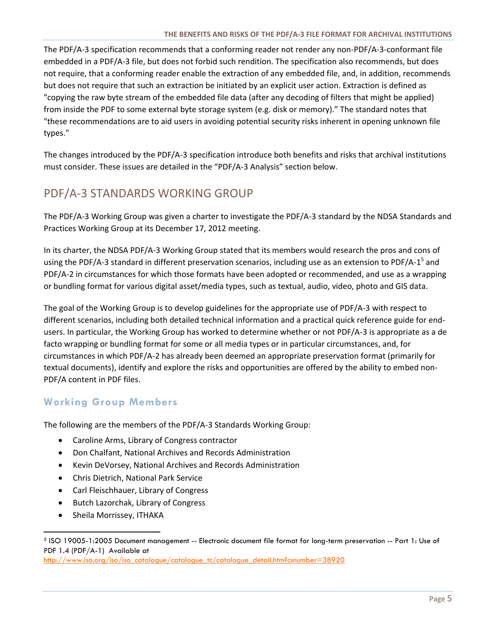The PDF/A-3 specification recommends that a conforming reader not render any non-PDF/A-3-conformant file embedded in a PDF/A-3 file, but does not forbid such rendition. The specification also recommends, but does not require, that a conforming reader enable the extraction of any embedded file, and, in addition, recommends but does not require that such an extraction be initiated by an explicit user action. Extraction is defined as "copying the raw byte stream of the embedded file data (after any decoding of filters that might be applied) from inside the PDF to some external byte storage system (e.g. disk or memory)." The standard notes that "these recommendations are to aid users in avoiding potential security risks inherent in opening unknown file types."

<span id="page-5-0"></span>The changes introduced by the PDF/A-3 specification introduce both benefits and risks that archival institutions must consider. These issues are detailed in the "PDF/A-3 Analysis" section below.

# PDF/A-3 STANDARDS WORKING GROUP

The PDF/A-3 Working Group was given a charter to investigate the PDF/A-3 standard by the NDSA Standards and Practices Working Group at its December 17, 2012 meeting.

In its charter, the NDSA PDF/A-3 Working Group stated that its members would research the pros and cons of using the PDF/A-3 standard in different preservation scenarios, including use as an extension to PDF/A-1<sup>5</sup> and PDF/A-2 in circumstances for which those formats have been adopted or recommended, and use as a wrapping or bundling format for various digital asset/media types, such as textual, audio, video, photo and GIS data.

The goal of the Working Group is to develop guidelines for the appropriate use of PDF/A-3 with respect to different scenarios, including both detailed technical information and a practical quick reference guide for endusers. In particular, the Working Group has worked to determine whether or not PDF/A-3 is appropriate as a de facto wrapping or bundling format for some or all media types or in particular circumstances, and, for circumstances in which PDF/A-2 has already been deemed an appropriate preservation format (primarily for textual documents), identify and explore the risks and opportunities are offered by the ability to embed non-PDF/A content in PDF files.

### **Working Group Members**

The following are the members of the PDF/A-3 Standards Working Group:

- Caroline Arms, Library of Congress contractor
- Don Chalfant, National Archives and Records Administration
- Kevin DeVorsey, National Archives and Records Administration
- Chris Dietrich, National Park Service
- Carl Fleischhauer, Library of Congress
- Butch Lazorchak, Library of Congress
- Sheila Morrissey, ITHAKA

 $\overline{a}$ 

<sup>5</sup> ISO 19005-1:2005 Document management -- Electronic document file format for long-term preservation -- Part 1: Use of PDF 1.4 (PDF/A-1) Available at

http://www.iso.org/iso/iso\_catalogue/catalogue\_tc/catalogue\_detail.htm?csnumber=38920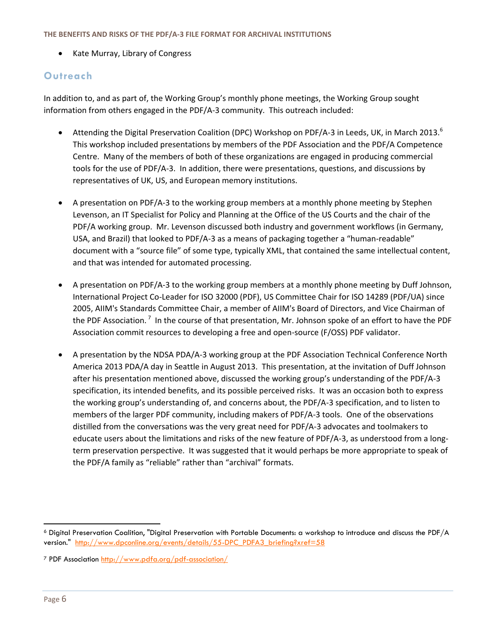Kate Murray, Library of Congress

### **Outreach**

In addition to, and as part of, the Working Group's monthly phone meetings, the Working Group sought information from others engaged in the PDF/A-3 community. This outreach included:

- Attending the Digital Preservation Coalition (DPC) Workshop on PDF/A-3 in Leeds, UK, in March 2013.<sup>6</sup> This workshop included presentations by members of the PDF Association and the PDF/A Competence Centre. Many of the members of both of these organizations are engaged in producing commercial tools for the use of PDF/A-3. In addition, there were presentations, questions, and discussions by representatives of UK, US, and European memory institutions.
- A presentation on PDF/A-3 to the working group members at a monthly phone meeting by Stephen Levenson, an IT Specialist for Policy and Planning at the Office of the US Courts and the chair of the PDF/A working group. Mr. Levenson discussed both industry and government workflows (in Germany, USA, and Brazil) that looked to PDF/A-3 as a means of packaging together a "human-readable" document with a "source file" of some type, typically XML, that contained the same intellectual content, and that was intended for automated processing.
- A presentation on PDF/A-3 to the working group members at a monthly phone meeting by Duff Johnson, International Project Co-Leader for ISO 32000 (PDF), US Committee Chair for ISO 14289 (PDF/UA) since 2005, AIIM's Standards Committee Chair, a member of AIIM's Board of Directors, and Vice Chairman of the PDF Association.<sup>7</sup> In the course of that presentation, Mr. Johnson spoke of an effort to have the PDF Association commit resources to developing a free and open-source (F/OSS) PDF validator.
- A presentation by the NDSA PDA/A-3 working group at the PDF Association Technical Conference North America 2013 PDA/A day in Seattle in August 2013. This presentation, at the invitation of Duff Johnson after his presentation mentioned above, discussed the working group's understanding of the PDF/A-3 specification, its intended benefits, and its possible perceived risks. It was an occasion both to express the working group's understanding of, and concerns about, the PDF/A-3 specification, and to listen to members of the larger PDF community, including makers of PDF/A-3 tools. One of the observations distilled from the conversations was the very great need for PDF/A-3 advocates and toolmakers to educate users about the limitations and risks of the new feature of PDF/A-3, as understood from a longterm preservation perspective. It was suggested that it would perhaps be more appropriate to speak of the PDF/A family as "reliable" rather than "archival" formats.

<span id="page-6-0"></span>l

<sup>6</sup> Digital Preservation Coalition, "Digital Preservation with Portable Documents: a workshop to introduce and discuss the PDF/A version." http://www.dpconline.org/events/details/55-DPC\_PDFA3\_briefing?xref=58

<sup>7</sup> PDF Association<http://www.pdfa.org/pdf-association/>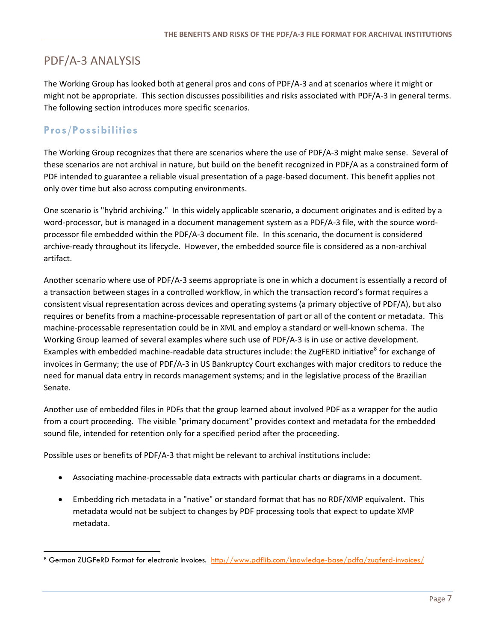# PDF/A-3 ANALYSIS

The Working Group has looked both at general pros and cons of PDF/A-3 and at scenarios where it might or might not be appropriate. This section discusses possibilities and risks associated with PDF/A-3 in general terms. The following section introduces more specific scenarios.

### **Pros/Possibilities**

 $\overline{a}$ 

The Working Group recognizes that there are scenarios where the use of PDF/A-3 might make sense. Several of these scenarios are not archival in nature, but build on the benefit recognized in PDF/A as a constrained form of PDF intended to guarantee a reliable visual presentation of a page-based document. This benefit applies not only over time but also across computing environments.

One scenario is "hybrid archiving." In this widely applicable scenario, a document originates and is edited by a word-processor, but is managed in a document management system as a PDF/A-3 file, with the source wordprocessor file embedded within the PDF/A-3 document file. In this scenario, the document is considered archive-ready throughout its lifecycle. However, the embedded source file is considered as a non-archival artifact.

Another scenario where use of PDF/A-3 seems appropriate is one in which a document is essentially a record of a transaction between stages in a controlled workflow, in which the transaction record's format requires a consistent visual representation across devices and operating systems (a primary objective of PDF/A), but also requires or benefits from a machine-processable representation of part or all of the content or metadata. This machine-processable representation could be in XML and employ a standard or well-known schema. The Working Group learned of several examples where such use of PDF/A-3 is in use or active development. Examples with embedded machine-readable data structures include: the ZugFERD initiative<sup>8</sup> for exchange of invoices in Germany; the use of PDF/A-3 in US Bankruptcy Court exchanges with major creditors to reduce the need for manual data entry in records management systems; and in the legislative process of the Brazilian Senate.

Another use of embedded files in PDFs that the group learned about involved PDF as a wrapper for the audio from a court proceeding. The visible "primary document" provides context and metadata for the embedded sound file, intended for retention only for a specified period after the proceeding.

Possible uses or benefits of PDF/A-3 that might be relevant to archival institutions include:

- Associating machine-processable data extracts with particular charts or diagrams in a document.
- Embedding rich metadata in a "native" or standard format that has no RDF/XMP equivalent. This metadata would not be subject to changes by PDF processing tools that expect to update XMP metadata.

<sup>8</sup> German ZUGFeRD Format for electronic Invoices. http://www.pdflib.com/knowledge-base/pdfa/zugferd-invoices/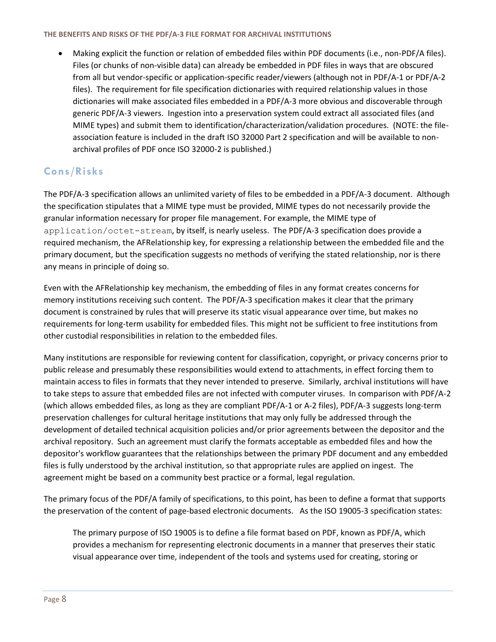Making explicit the function or relation of embedded files within PDF documents (i.e., non-PDF/A files). Files (or chunks of non-visible data) can already be embedded in PDF files in ways that are obscured from all but vendor-specific or application-specific reader/viewers (although not in PDF/A-1 or PDF/A-2 files). The requirement for file specification dictionaries with required relationship values in those dictionaries will make associated files embedded in a PDF/A-3 more obvious and discoverable through generic PDF/A-3 viewers. Ingestion into a preservation system could extract all associated files (and MIME types) and submit them to identification/characterization/validation procedures. (NOTE: the fileassociation feature is included in the draft ISO 32000 Part 2 specification and will be available to nonarchival profiles of PDF once ISO 32000-2 is published.)

### **Cons/Risks**

The PDF/A-3 specification allows an unlimited variety of files to be embedded in a PDF/A-3 document. Although the specification stipulates that a MIME type must be provided, MIME types do not necessarily provide the granular information necessary for proper file management. For example, the MIME type of application/octet-stream, by itself, is nearly useless. The PDF/A-3 specification does provide a required mechanism, the AFRelationship key, for expressing a relationship between the embedded file and the primary document, but the specification suggests no methods of verifying the stated relationship, nor is there any means in principle of doing so.

Even with the AFRelationship key mechanism, the embedding of files in any format creates concerns for memory institutions receiving such content. The PDF/A-3 specification makes it clear that the primary document is constrained by rules that will preserve its static visual appearance over time, but makes no requirements for long-term usability for embedded files. This might not be sufficient to free institutions from other custodial responsibilities in relation to the embedded files.

Many institutions are responsible for reviewing content for classification, copyright, or privacy concerns prior to public release and presumably these responsibilities would extend to attachments, in effect forcing them to maintain access to files in formats that they never intended to preserve. Similarly, archival institutions will have to take steps to assure that embedded files are not infected with computer viruses. In comparison with PDF/A-2 (which allows embedded files, as long as they are compliant PDF/A-1 or A-2 files), PDF/A-3 suggests long-term preservation challenges for cultural heritage institutions that may only fully be addressed through the development of detailed technical acquisition policies and/or prior agreements between the depositor and the archival repository. Such an agreement must clarify the formats acceptable as embedded files and how the depositor's workflow guarantees that the relationships between the primary PDF document and any embedded files is fully understood by the archival institution, so that appropriate rules are applied on ingest. The agreement might be based on a community best practice or a formal, legal regulation.

The primary focus of the PDF/A family of specifications, to this point, has been to define a format that supports the preservation of the content of page-based electronic documents. As the ISO 19005-3 specification states:

The primary purpose of ISO 19005 is to define a file format based on PDF, known as PDF/A, which provides a mechanism for representing electronic documents in a manner that preserves their static visual appearance over time, independent of the tools and systems used for creating, storing or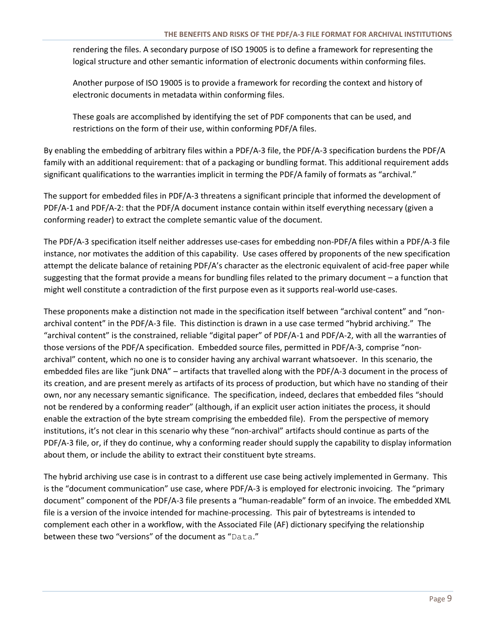rendering the files. A secondary purpose of ISO 19005 is to define a framework for representing the logical structure and other semantic information of electronic documents within conforming files.

Another purpose of ISO 19005 is to provide a framework for recording the context and history of electronic documents in metadata within conforming files.

These goals are accomplished by identifying the set of PDF components that can be used, and restrictions on the form of their use, within conforming PDF/A files.

By enabling the embedding of arbitrary files within a PDF/A-3 file, the PDF/A-3 specification burdens the PDF/A family with an additional requirement: that of a packaging or bundling format. This additional requirement adds significant qualifications to the warranties implicit in terming the PDF/A family of formats as "archival."

The support for embedded files in PDF/A-3 threatens a significant principle that informed the development of PDF/A-1 and PDF/A-2: that the PDF/A document instance contain within itself everything necessary (given a conforming reader) to extract the complete semantic value of the document.

The PDF/A-3 specification itself neither addresses use-cases for embedding non-PDF/A files within a PDF/A-3 file instance, nor motivates the addition of this capability. Use cases offered by proponents of the new specification attempt the delicate balance of retaining PDF/A's character as the electronic equivalent of acid-free paper while suggesting that the format provide a means for bundling files related to the primary document – a function that might well constitute a contradiction of the first purpose even as it supports real-world use-cases.

These proponents make a distinction not made in the specification itself between "archival content" and "nonarchival content" in the PDF/A-3 file. This distinction is drawn in a use case termed "hybrid archiving." The "archival content" is the constrained, reliable "digital paper" of PDF/A-1 and PDF/A-2, with all the warranties of those versions of the PDF/A specification. Embedded source files, permitted in PDF/A-3, comprise "nonarchival" content, which no one is to consider having any archival warrant whatsoever. In this scenario, the embedded files are like "junk DNA" – artifacts that travelled along with the PDF/A-3 document in the process of its creation, and are present merely as artifacts of its process of production, but which have no standing of their own, nor any necessary semantic significance. The specification, indeed, declares that embedded files "should not be rendered by a conforming reader" (although, if an explicit user action initiates the process, it should enable the extraction of the byte stream comprising the embedded file). From the perspective of memory institutions, it's not clear in this scenario why these "non-archival" artifacts should continue as parts of the PDF/A-3 file, or, if they do continue, why a conforming reader should supply the capability to display information about them, or include the ability to extract their constituent byte streams.

The hybrid archiving use case is in contrast to a different use case being actively implemented in Germany. This is the "document communication" use case, where PDF/A-3 is employed for electronic invoicing. The "primary document" component of the PDF/A-3 file presents a "human-readable" form of an invoice. The embedded XML file is a version of the invoice intended for machine-processing. This pair of bytestreams is intended to complement each other in a workflow, with the Associated File (AF) dictionary specifying the relationship between these two "versions" of the document as "Data."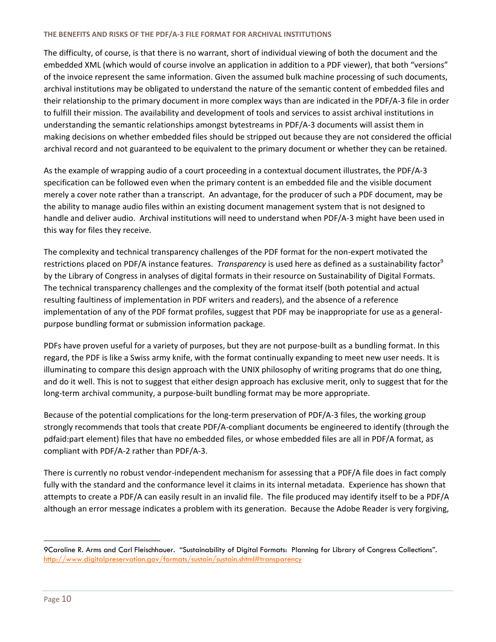The difficulty, of course, is that there is no warrant, short of individual viewing of both the document and the embedded XML (which would of course involve an application in addition to a PDF viewer), that both "versions" of the invoice represent the same information. Given the assumed bulk machine processing of such documents, archival institutions may be obligated to understand the nature of the semantic content of embedded files and their relationship to the primary document in more complex ways than are indicated in the PDF/A-3 file in order to fulfill their mission. The availability and development of tools and services to assist archival institutions in understanding the semantic relationships amongst bytestreams in PDF/A-3 documents will assist them in making decisions on whether embedded files should be stripped out because they are not considered the official archival record and not guaranteed to be equivalent to the primary document or whether they can be retained.

As the example of wrapping audio of a court proceeding in a contextual document illustrates, the PDF/A-3 specification can be followed even when the primary content is an embedded file and the visible document merely a cover note rather than a transcript. An advantage, for the producer of such a PDF document, may be the ability to manage audio files within an existing document management system that is not designed to handle and deliver audio. Archival institutions will need to understand when PDF/A-3 might have been used in this way for files they receive.

The complexity and technical transparency challenges of the PDF format for the non-expert motivated the restrictions placed on PDF/A instance features. *Transparency* is used here as defined as a sustainability factor<sup>9</sup> by the Library of Congress in analyses of digital formats in their resource on Sustainability of Digital Formats. The technical transparency challenges and the complexity of the format itself (both potential and actual resulting faultiness of implementation in PDF writers and readers), and the absence of a reference implementation of any of the PDF format profiles, suggest that PDF may be inappropriate for use as a generalpurpose bundling format or submission information package.

PDFs have proven useful for a variety of purposes, but they are not purpose-built as a bundling format. In this regard, the PDF is like a Swiss army knife, with the format continually expanding to meet new user needs. It is illuminating to compare this design approach with the UNIX philosophy of writing programs that do one thing, and do it well. This is not to suggest that either design approach has exclusive merit, only to suggest that for the long-term archival community, a purpose-built bundling format may be more appropriate.

Because of the potential complications for the long-term preservation of PDF/A-3 files, the working group strongly recommends that tools that create PDF/A-compliant documents be engineered to identify (through the pdfaid:part element) files that have no embedded files, or whose embedded files are all in PDF/A format, as compliant with PDF/A-2 rather than PDF/A-3.

There is currently no robust vendor-independent mechanism for assessing that a PDF/A file does in fact comply fully with the standard and the conformance level it claims in its internal metadata. Experience has shown that attempts to create a PDF/A can easily result in an invalid file. The file produced may identify itself to be a PDF/A although an error message indicates a problem with its generation. Because the Adobe Reader is very forgiving,

<sup>9</sup>Caroline R. Arms and Carl Fleischhauer. "Sustainability of Digital Formats: Planning for Library of Congress Collections". <http://www.digitalpreservation.gov/formats/sustain/sustain.shtml#transparency>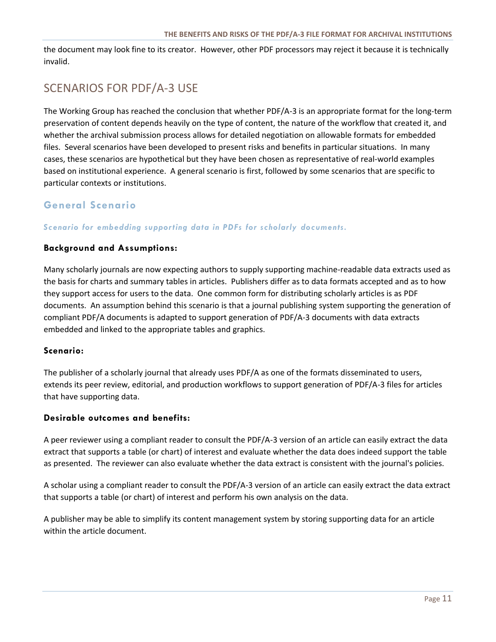the document may look fine to its creator. However, other PDF processors may reject it because it is technically invalid.

# SCENARIOS FOR PDF/A-3 USE

The Working Group has reached the conclusion that whether PDF/A-3 is an appropriate format for the long-term preservation of content depends heavily on the type of content, the nature of the workflow that created it, and whether the archival submission process allows for detailed negotiation on allowable formats for embedded files. Several scenarios have been developed to present risks and benefits in particular situations. In many cases, these scenarios are hypothetical but they have been chosen as representative of real-world examples based on institutional experience. A general scenario is first, followed by some scenarios that are specific to particular contexts or institutions.

### **General Scenario**

*Scenario for embedding supporting data in PDFs for scholarly documents.* 

### **Background and Assumptions:**

Many scholarly journals are now expecting authors to supply supporting machine-readable data extracts used as the basis for charts and summary tables in articles. Publishers differ as to data formats accepted and as to how they support access for users to the data. One common form for distributing scholarly articles is as PDF documents. An assumption behind this scenario is that a journal publishing system supporting the generation of compliant PDF/A documents is adapted to support generation of PDF/A-3 documents with data extracts embedded and linked to the appropriate tables and graphics.

### **Scenario:**

The publisher of a scholarly journal that already uses PDF/A as one of the formats disseminated to users, extends its peer review, editorial, and production workflows to support generation of PDF/A-3 files for articles that have supporting data.

### **Desirable outcomes and benefits:**

A peer reviewer using a compliant reader to consult the PDF/A-3 version of an article can easily extract the data extract that supports a table (or chart) of interest and evaluate whether the data does indeed support the table as presented. The reviewer can also evaluate whether the data extract is consistent with the journal's policies.

A scholar using a compliant reader to consult the PDF/A-3 version of an article can easily extract the data extract that supports a table (or chart) of interest and perform his own analysis on the data.

A publisher may be able to simplify its content management system by storing supporting data for an article within the article document.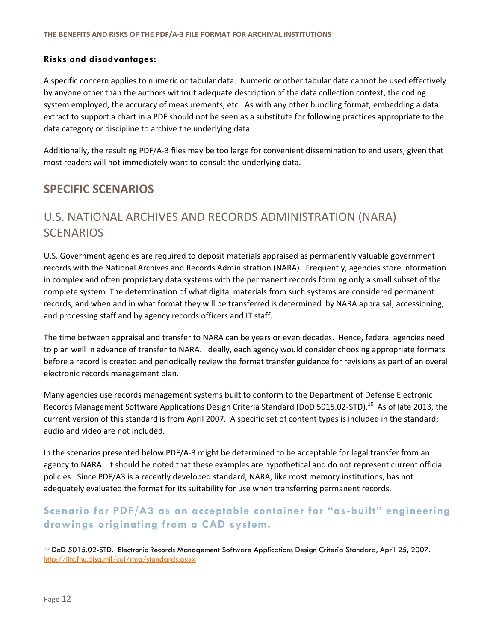### **Risks and disadvantages:**

A specific concern applies to numeric or tabular data. Numeric or other tabular data cannot be used effectively by anyone other than the authors without adequate description of the data collection context, the coding system employed, the accuracy of measurements, etc. As with any other bundling format, embedding a data extract to support a chart in a PDF should not be seen as a substitute for following practices appropriate to the data category or discipline to archive the underlying data.

Additionally, the resulting PDF/A-3 files may be too large for convenient dissemination to end users, given that most readers will not immediately want to consult the underlying data.

### <span id="page-12-0"></span>**SPECIFIC SCENARIOS**

# <span id="page-12-1"></span>U.S. NATIONAL ARCHIVES AND RECORDS ADMINISTRATION (NARA) **SCENARIOS**

U.S. Government agencies are required to deposit materials appraised as permanently valuable government records with the National Archives and Records Administration (NARA). Frequently, agencies store information in complex and often proprietary data systems with the permanent records forming only a small subset of the complete system. The determination of what digital materials from such systems are considered permanent records, and when and in what format they will be transferred is determined by NARA appraisal, accessioning, and processing staff and by agency records officers and IT staff.

The time between appraisal and transfer to NARA can be years or even decades. Hence, federal agencies need to plan well in advance of transfer to NARA. Ideally, each agency would consider choosing appropriate formats before a record is created and periodically review the format transfer guidance for revisions as part of an overall electronic records management plan.

Many agencies use records management systems built to conform to the Department of Defense Electronic Records Management Software Applications Design Criteria Standard (DoD 5015.02-STD).<sup>10</sup> As of late 2013, the current version of this standard is from April 2007. A specific set of content types is included in the standard; audio and video are not included.

In the scenarios presented below PDF/A-3 might be determined to be acceptable for legal transfer from an agency to NARA. It should be noted that these examples are hypothetical and do not represent current official policies. Since PDF/A3 is a recently developed standard, NARA, like most memory institutions, has not adequately evaluated the format for its suitability for use when transferring permanent records.

### **Scenario for PDF/A3 as an acceptable container for "as -built" engineering drawings originating from a CAD system.**

<sup>&</sup>lt;sup>10</sup> DoD 5015.02-STD. Electronic Records Management Software Applications Design Criteria Standard, April 25, 2007. <http://jitc.fhu.disa.mil/cgi/rma/standards.aspx>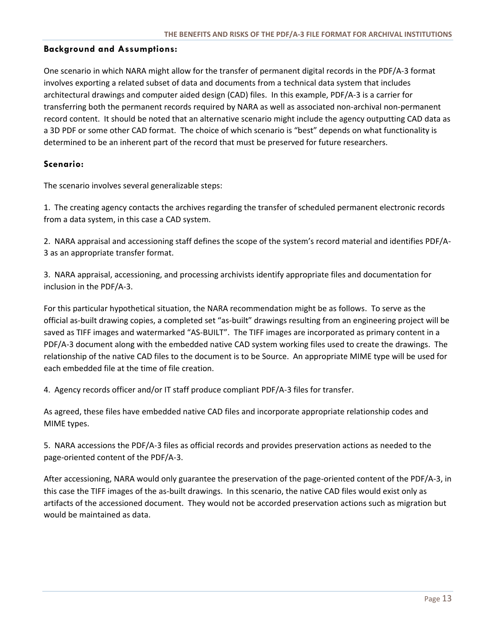### **Background and Assumptions:**

One scenario in which NARA might allow for the transfer of permanent digital records in the PDF/A-3 format involves exporting a related subset of data and documents from a technical data system that includes architectural drawings and computer aided design (CAD) files. In this example, PDF/A-3 is a carrier for transferring both the permanent records required by NARA as well as associated non-archival non-permanent record content. It should be noted that an alternative scenario might include the agency outputting CAD data as a 3D PDF or some other CAD format. The choice of which scenario is "best" depends on what functionality is determined to be an inherent part of the record that must be preserved for future researchers.

### **Scenario:**

The scenario involves several generalizable steps:

1. The creating agency contacts the archives regarding the transfer of scheduled permanent electronic records from a data system, in this case a CAD system.

2. NARA appraisal and accessioning staff defines the scope of the system's record material and identifies PDF/A-3 as an appropriate transfer format.

3. NARA appraisal, accessioning, and processing archivists identify appropriate files and documentation for inclusion in the PDF/A-3.

For this particular hypothetical situation, the NARA recommendation might be as follows. To serve as the official as-built drawing copies, a completed set "as-built" drawings resulting from an engineering project will be saved as TIFF images and watermarked "AS-BUILT". The TIFF images are incorporated as primary content in a PDF/A-3 document along with the embedded native CAD system working files used to create the drawings. The relationship of the native CAD files to the document is to be Source. An appropriate MIME type will be used for each embedded file at the time of file creation.

4. Agency records officer and/or IT staff produce compliant PDF/A-3 files for transfer.

As agreed, these files have embedded native CAD files and incorporate appropriate relationship codes and MIME types.

5. NARA accessions the PDF/A-3 files as official records and provides preservation actions as needed to the page-oriented content of the PDF/A-3.

After accessioning, NARA would only guarantee the preservation of the page-oriented content of the PDF/A-3, in this case the TIFF images of the as-built drawings. In this scenario, the native CAD files would exist only as artifacts of the accessioned document. They would not be accorded preservation actions such as migration but would be maintained as data.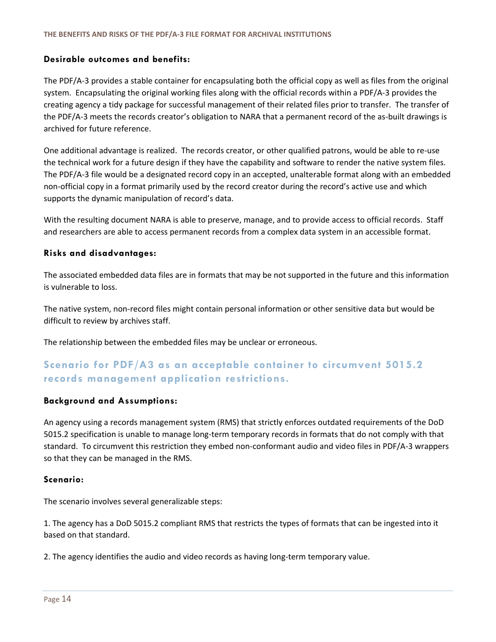### **Desirable outcomes and benefits:**

The PDF/A-3 provides a stable container for encapsulating both the official copy as well as files from the original system. Encapsulating the original working files along with the official records within a PDF/A-3 provides the creating agency a tidy package for successful management of their related files prior to transfer. The transfer of the PDF/A-3 meets the records creator's obligation to NARA that a permanent record of the as-built drawings is archived for future reference.

One additional advantage is realized. The records creator, or other qualified patrons, would be able to re-use the technical work for a future design if they have the capability and software to render the native system files. The PDF/A-3 file would be a designated record copy in an accepted, unalterable format along with an embedded non-official copy in a format primarily used by the record creator during the record's active use and which supports the dynamic manipulation of record's data.

With the resulting document NARA is able to preserve, manage, and to provide access to official records. Staff and researchers are able to access permanent records from a complex data system in an accessible format.

### **Risks and disadvantages:**

The associated embedded data files are in formats that may be not supported in the future and this information is vulnerable to loss.

The native system, non-record files might contain personal information or other sensitive data but would be difficult to review by archives staff.

The relationship between the embedded files may be unclear or erroneous.

### **Scenario for PDF/A3 as an acceptable container to circumvent 5015.2 records management application restrictions.**

### **Background and Assumptions:**

An agency using a records management system (RMS) that strictly enforces outdated requirements of the DoD 5015.2 specification is unable to manage long-term temporary records in formats that do not comply with that standard. To circumvent this restriction they embed non-conformant audio and video files in PDF/A-3 wrappers so that they can be managed in the RMS.

### **Scenario:**

The scenario involves several generalizable steps:

1. The agency has a DoD 5015.2 compliant RMS that restricts the types of formats that can be ingested into it based on that standard.

2. The agency identifies the audio and video records as having long-term temporary value.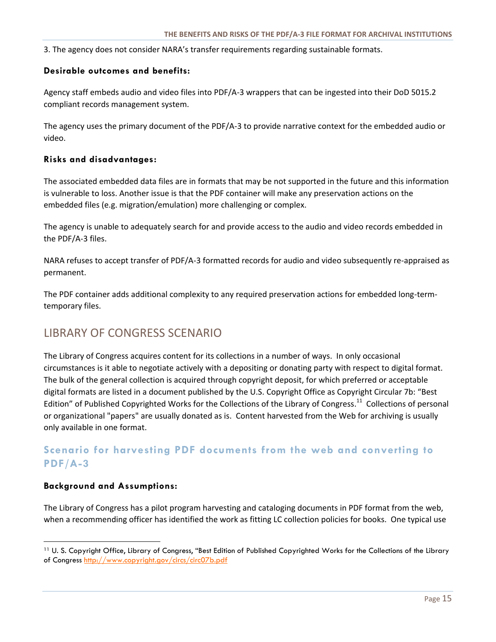3. The agency does not consider NARA's transfer requirements regarding sustainable formats.

### **Desirable outcomes and benefits:**

Agency staff embeds audio and video files into PDF/A-3 wrappers that can be ingested into their DoD 5015.2 compliant records management system.

The agency uses the primary document of the PDF/A-3 to provide narrative context for the embedded audio or video.

### **Risks and disadvantages:**

The associated embedded data files are in formats that may be not supported in the future and this information is vulnerable to loss. Another issue is that the PDF container will make any preservation actions on the embedded files (e.g. migration/emulation) more challenging or complex.

The agency is unable to adequately search for and provide access to the audio and video records embedded in the PDF/A-3 files.

NARA refuses to accept transfer of PDF/A-3 formatted records for audio and video subsequently re-appraised as permanent.

The PDF container adds additional complexity to any required preservation actions for embedded long-termtemporary files.

### <span id="page-15-0"></span>LIBRARY OF CONGRESS SCENARIO

The Library of Congress acquires content for its collections in a number of ways. In only occasional circumstances is it able to negotiate actively with a depositing or donating party with respect to digital format. The bulk of the general collection is acquired through copyright deposit, for which preferred or acceptable digital formats are listed in a document published by the U.S. Copyright Office as Copyright Circular 7b: "Best Edition" of Published Copyrighted Works for the Collections of the Library of Congress.<sup>11</sup> Collections of personal or organizational "papers" are usually donated as is. Content harvested from the Web for archiving is usually only available in one format.

### **Scenario for harvesting PDF documents from the web and converting to PDF/A-3**

### **Background and Assumptions:**

 $\overline{a}$ 

The Library of Congress has a pilot program harvesting and cataloging documents in PDF format from the web, when a recommending officer has identified the work as fitting LC collection policies for books. One typical use

<sup>11</sup> U. S. Copyright Office, Library of Congress, "Best Edition of Published Copyrighted Works for the Collections of the Library of Congress<http://www.copyright.gov/circs/circ07b.pdf>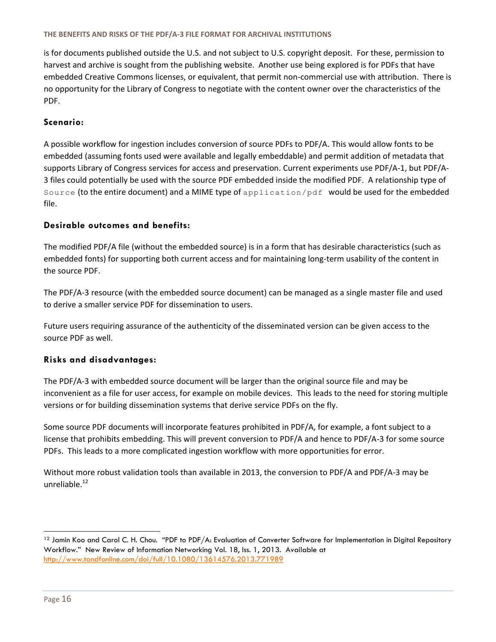is for documents published outside the U.S. and not subject to U.S. copyright deposit. For these, permission to harvest and archive is sought from the publishing website. Another use being explored is for PDFs that have embedded Creative Commons licenses, or equivalent, that permit non-commercial use with attribution. There is no opportunity for the Library of Congress to negotiate with the content owner over the characteristics of the PDF.

### **Scenario:**

A possible workflow for ingestion includes conversion of source PDFs to PDF/A. This would allow fonts to be embedded (assuming fonts used were available and legally embeddable) and permit addition of metadata that supports Library of Congress services for access and preservation. Current experiments use PDF/A-1, but PDF/A-3 files could potentially be used with the source PDF embedded inside the modified PDF. A relationship type of Source (to the entire document) and a MIME type of application/pdf would be used for the embedded file.

### **Desirable outcomes and benefits:**

The modified PDF/A file (without the embedded source) is in a form that has desirable characteristics (such as embedded fonts) for supporting both current access and for maintaining long-term usability of the content in the source PDF.

The PDF/A-3 resource (with the embedded source document) can be managed as a single master file and used to derive a smaller service PDF for dissemination to users.

Future users requiring assurance of the authenticity of the disseminated version can be given access to the source PDF as well.

### **Risks and disadvantages:**

The PDF/A-3 with embedded source document will be larger than the original source file and may be inconvenient as a file for user access, for example on mobile devices. This leads to the need for storing multiple versions or for building dissemination systems that derive service PDFs on the fly.

Some source PDF documents will incorporate features prohibited in PDF/A, for example, a font subject to a license that prohibits embedding. This will prevent conversion to PDF/A and hence to PDF/A-3 for some source PDFs. This leads to a more complicated ingestion workflow with more opportunities for error.

<span id="page-16-0"></span>Without more robust validation tools than available in 2013, the conversion to PDF/A and PDF/A-3 may be unreliable.<sup>12</sup>

l

<sup>&</sup>lt;sup>12</sup> Jamin Koo and Carol C. H. Chou. "PDF to PDF/A: Evaluation of Converter Software for Implementation in Digital Repository Workflow." New Review of Information Networking Vol. 18, Iss. 1, 2013. Available at <http://www.tandfonline.com/doi/full/10.1080/13614576.2013.771989>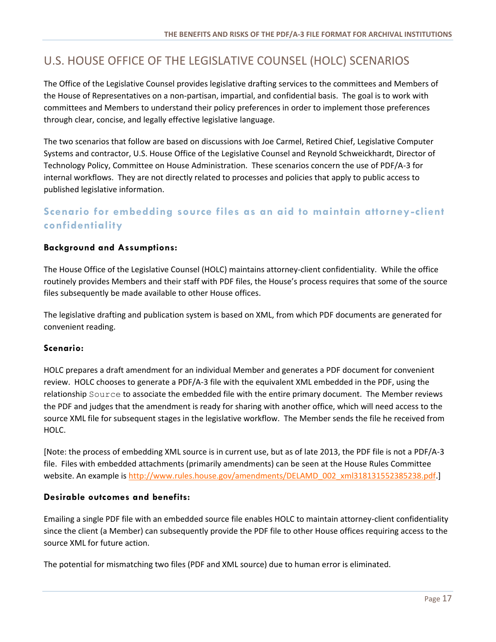# U.S. HOUSE OFFICE OF THE LEGISLATIVE COUNSEL (HOLC) SCENARIOS

The Office of the Legislative Counsel provides legislative drafting services to the committees and Members of the House of Representatives on a non-partisan, impartial, and confidential basis. The goal is to work with committees and Members to understand their policy preferences in order to implement those preferences through clear, concise, and legally effective legislative language.

The two scenarios that follow are based on discussions with Joe Carmel, Retired Chief, Legislative Computer Systems and contractor, U.S. House Office of the Legislative Counsel and Reynold Schweickhardt, Director of Technology Policy, Committee on House Administration. These scenarios concern the use of PDF/A-3 for internal workflows. They are not directly related to processes and policies that apply to public access to published legislative information.

### **Scenario for embedding source files as an aid to maintain attorney-client confidentiality**

### **Background and Assumptions:**

The House Office of the Legislative Counsel (HOLC) maintains attorney-client confidentiality. While the office routinely provides Members and their staff with PDF files, the House's process requires that some of the source files subsequently be made available to other House offices.

The legislative drafting and publication system is based on XML, from which PDF documents are generated for convenient reading.

### **Scenario:**

HOLC prepares a draft amendment for an individual Member and generates a PDF document for convenient review. HOLC chooses to generate a PDF/A-3 file with the equivalent XML embedded in the PDF, using the relationship Source to associate the embedded file with the entire primary document. The Member reviews the PDF and judges that the amendment is ready for sharing with another office, which will need access to the source XML file for subsequent stages in the legislative workflow. The Member sends the file he received from HOLC.

[Note: the process of embedding XML source is in current use, but as of late 2013, the PDF file is not a PDF/A-3 file. Files with embedded attachments (primarily amendments) can be seen at the House Rules Committee website. An example is [http://www.rules.house.gov/amendments/DELAMD\\_002\\_xml318131552385238.pdf.](http://www.rules.house.gov/amendments/DELAMD_002_xml318131552385238.pdf)]

### **Desirable outcomes and benefits:**

Emailing a single PDF file with an embedded source file enables HOLC to maintain attorney-client confidentiality since the client (a Member) can subsequently provide the PDF file to other House offices requiring access to the source XML for future action.

The potential for mismatching two files (PDF and XML source) due to human error is eliminated.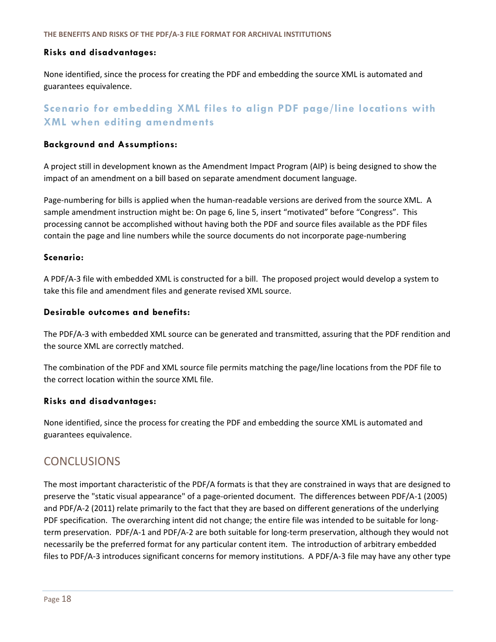### **Risks and disadvantages:**

None identified, since the process for creating the PDF and embedding the source XML is automated and guarantees equivalence.

### **Scenario for embedding XML files to align PDF page/line locations with XML when editing amendments**

### **Background and Assumptions:**

A project still in development known as the Amendment Impact Program (AIP) is being designed to show the impact of an amendment on a bill based on separate amendment document language.

Page-numbering for bills is applied when the human-readable versions are derived from the source XML. A sample amendment instruction might be: On page 6, line 5, insert "motivated" before "Congress". This processing cannot be accomplished without having both the PDF and source files available as the PDF files contain the page and line numbers while the source documents do not incorporate page-numbering

### **Scenario:**

A PDF/A-3 file with embedded XML is constructed for a bill. The proposed project would develop a system to take this file and amendment files and generate revised XML source.

### **Desirable outcomes and benefits:**

The PDF/A-3 with embedded XML source can be generated and transmitted, assuring that the PDF rendition and the source XML are correctly matched.

The combination of the PDF and XML source file permits matching the page/line locations from the PDF file to the correct location within the source XML file.

### **Risks and disadvantages:**

None identified, since the process for creating the PDF and embedding the source XML is automated and guarantees equivalence.

### <span id="page-18-0"></span>**CONCLUSIONS**

The most important characteristic of the PDF/A formats is that they are constrained in ways that are designed to preserve the "static visual appearance" of a page-oriented document. The differences between PDF/A-1 (2005) and PDF/A-2 (2011) relate primarily to the fact that they are based on different generations of the underlying PDF specification. The overarching intent did not change; the entire file was intended to be suitable for longterm preservation. PDF/A-1 and PDF/A-2 are both suitable for long-term preservation, although they would not necessarily be the preferred format for any particular content item. The introduction of arbitrary embedded files to PDF/A-3 introduces significant concerns for memory institutions. A PDF/A-3 file may have any other type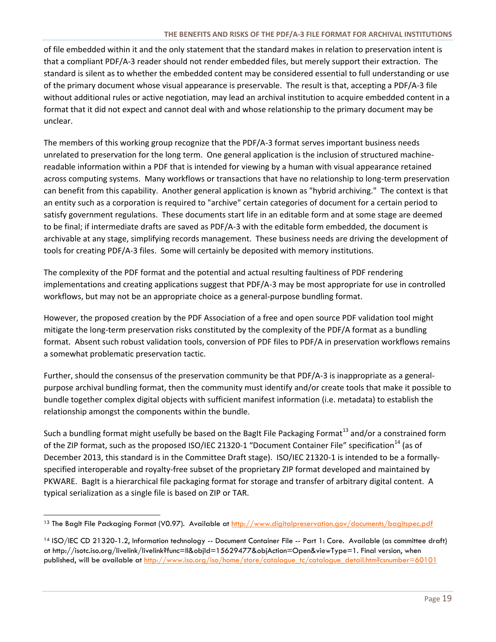of file embedded within it and the only statement that the standard makes in relation to preservation intent is that a compliant PDF/A-3 reader should not render embedded files, but merely support their extraction. The standard is silent as to whether the embedded content may be considered essential to full understanding or use of the primary document whose visual appearance is preservable. The result is that, accepting a PDF/A-3 file without additional rules or active negotiation, may lead an archival institution to acquire embedded content in a format that it did not expect and cannot deal with and whose relationship to the primary document may be unclear.

The members of this working group recognize that the PDF/A-3 format serves important business needs unrelated to preservation for the long term. One general application is the inclusion of structured machinereadable information within a PDF that is intended for viewing by a human with visual appearance retained across computing systems. Many workflows or transactions that have no relationship to long-term preservation can benefit from this capability. Another general application is known as "hybrid archiving." The context is that an entity such as a corporation is required to "archive" certain categories of document for a certain period to satisfy government regulations. These documents start life in an editable form and at some stage are deemed to be final; if intermediate drafts are saved as PDF/A-3 with the editable form embedded, the document is archivable at any stage, simplifying records management. These business needs are driving the development of tools for creating PDF/A-3 files. Some will certainly be deposited with memory institutions.

The complexity of the PDF format and the potential and actual resulting faultiness of PDF rendering implementations and creating applications suggest that PDF/A-3 may be most appropriate for use in controlled workflows, but may not be an appropriate choice as a general-purpose bundling format.

However, the proposed creation by the PDF Association of a free and open source PDF validation tool might mitigate the long-term preservation risks constituted by the complexity of the PDF/A format as a bundling format. Absent such robust validation tools, conversion of PDF files to PDF/A in preservation workflows remains a somewhat problematic preservation tactic.

Further, should the consensus of the preservation community be that PDF/A-3 is inappropriate as a generalpurpose archival bundling format, then the community must identify and/or create tools that make it possible to bundle together complex digital objects with sufficient manifest information (i.e. metadata) to establish the relationship amongst the components within the bundle.

Such a bundling format might usefully be based on the BagIt File Packaging Format<sup>13</sup> and/or a constrained form of the ZIP format, such as the proposed ISO/IEC 21320-1 "Document Container File" specification<sup>14</sup> (as of December 2013, this standard is in the Committee Draft stage). ISO/IEC 21320-1 is intended to be a formallyspecified interoperable and royalty-free subset of the proprietary ZIP format developed and maintained by PKWARE. BagIt is a hierarchical file packaging format for storage and transfer of arbitrary digital content. A typical serialization as a single file is based on ZIP or TAR.

 $\overline{a}$ 

<sup>13</sup> The BagIt File Packaging Format (V0.97). Available at http://www.digitalpreservation.gov/documents/bagitspec.pdf

<sup>14</sup> ISO/IEC CD 21320-1.2, Information technology -- Document Container File -- Part 1: Core. Available (as committee draft) at http://isotc.iso.org/livelink/livelink?func=ll&objId=15629477&objAction=Open&viewType=1. Final version, when published, will be available at http://www.iso.org/iso/home/store/catalogue\_tc/catalogue\_detail.htm?csnumber=60101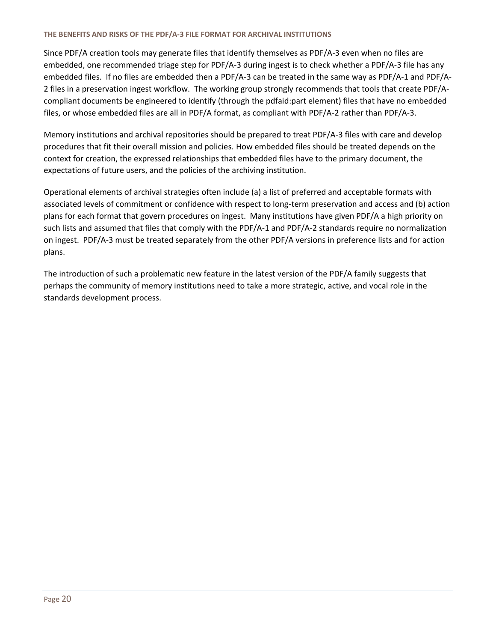Since PDF/A creation tools may generate files that identify themselves as PDF/A-3 even when no files are embedded, one recommended triage step for PDF/A-3 during ingest is to check whether a PDF/A-3 file has any embedded files. If no files are embedded then a PDF/A-3 can be treated in the same way as PDF/A-1 and PDF/A-2 files in a preservation ingest workflow. The working group strongly recommends that tools that create PDF/Acompliant documents be engineered to identify (through the pdfaid:part element) files that have no embedded files, or whose embedded files are all in PDF/A format, as compliant with PDF/A-2 rather than PDF/A-3.

Memory institutions and archival repositories should be prepared to treat PDF/A-3 files with care and develop procedures that fit their overall mission and policies. How embedded files should be treated depends on the context for creation, the expressed relationships that embedded files have to the primary document, the expectations of future users, and the policies of the archiving institution.

Operational elements of archival strategies often include (a) a list of preferred and acceptable formats with associated levels of commitment or confidence with respect to long-term preservation and access and (b) action plans for each format that govern procedures on ingest. Many institutions have given PDF/A a high priority on such lists and assumed that files that comply with the PDF/A-1 and PDF/A-2 standards require no normalization on ingest. PDF/A-3 must be treated separately from the other PDF/A versions in preference lists and for action plans.

<span id="page-20-0"></span>The introduction of such a problematic new feature in the latest version of the PDF/A family suggests that perhaps the community of memory institutions need to take a more strategic, active, and vocal role in the standards development process.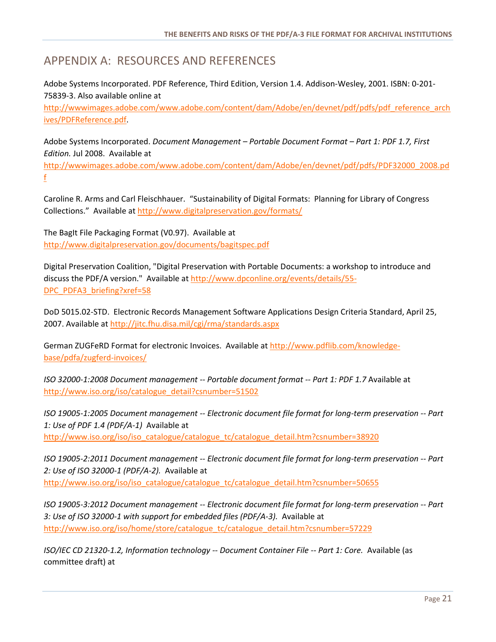# APPENDIX A: RESOURCES AND REFERENCES

Adobe Systems Incorporated. PDF Reference, Third Edition, Version 1.4. Addison-Wesley, 2001. ISBN: 0-201- 75839-3. Also available online at

[http://wwwimages.adobe.com/www.adobe.com/content/dam/Adobe/en/devnet/pdf/pdfs/pdf\\_reference\\_arch](http://wwwimages.adobe.com/www.adobe.com/content/dam/Adobe/en/devnet/pdf/pdfs/pdf_reference_archives/PDFReference.pdf) [ives/PDFReference.pdf.](http://wwwimages.adobe.com/www.adobe.com/content/dam/Adobe/en/devnet/pdf/pdfs/pdf_reference_archives/PDFReference.pdf)

Adobe Systems Incorporated. *Document Management – Portable Document Format – Part 1: PDF 1.7, First Edition.* Jul 2008. Available at

[http://wwwimages.adobe.com/www.adobe.com/content/dam/Adobe/en/devnet/pdf/pdfs/PDF32000\\_2008.pd](http://wwwimages.adobe.com/www.adobe.com/content/dam/Adobe/en/devnet/pdf/pdfs/PDF32000_2008.pdf) [f](http://wwwimages.adobe.com/www.adobe.com/content/dam/Adobe/en/devnet/pdf/pdfs/PDF32000_2008.pdf)

Caroline R. Arms and Carl Fleischhauer. "Sustainability of Digital Formats: Planning for Library of Congress Collections." Available at<http://www.digitalpreservation.gov/formats/>

The BagIt File Packaging Format (V0.97). Available at <http://www.digitalpreservation.gov/documents/bagitspec.pdf>

Digital Preservation Coalition, "Digital Preservation with Portable Documents: a workshop to introduce and discuss the PDF/A version." Available a[t http://www.dpconline.org/events/details/55-](http://www.dpconline.org/events/details/55-DPC_PDFA3_briefing?xref=58) [DPC\\_PDFA3\\_briefing?xref=58](http://www.dpconline.org/events/details/55-DPC_PDFA3_briefing?xref=58)

DoD 5015.02-STD. Electronic Records Management Software Applications Design Criteria Standard, April 25, 2007. Available at<http://jitc.fhu.disa.mil/cgi/rma/standards.aspx>

German ZUGFeRD Format for electronic Invoices. Available at [http://www.pdflib.com/knowledge](http://www.pdflib.com/knowledge-base/pdfa/zugferd-invoices/)[base/pdfa/zugferd-invoices/](http://www.pdflib.com/knowledge-base/pdfa/zugferd-invoices/)

*ISO 32000-1:2008 Document management -- Portable document format -- Part 1: PDF 1.7* Available at [http://www.iso.org/iso/catalogue\\_detail?csnumber=51502](http://www.iso.org/iso/catalogue_detail?csnumber=51502%20)

*ISO 19005-1:2005 Document management -- Electronic document file format for long-term preservation -- Part 1: Use of PDF 1.4 (PDF/A-1)* Available at [http://www.iso.org/iso/iso\\_catalogue/catalogue\\_tc/catalogue\\_detail.htm?csnumber=38920](http://www.iso.org/iso/iso_catalogue/catalogue_tc/catalogue_detail.htm?csnumber=38920)

*ISO 19005-2:2011 Document management -- Electronic document file format for long-term preservation -- Part 2: Use of ISO 32000-1 (PDF/A-2).* Available at [http://www.iso.org/iso/iso\\_catalogue/catalogue\\_tc/catalogue\\_detail.htm?csnumber=50655](http://www.iso.org/iso/iso_catalogue/catalogue_tc/catalogue_detail.htm?csnumber=50655)

*ISO 19005-3:2012 Document management -- Electronic document file format for long-term preservation -- Part 3: Use of ISO 32000-1 with support for embedded files (PDF/A-3).* Available at [http://www.iso.org/iso/home/store/catalogue\\_tc/catalogue\\_detail.htm?csnumber=57229](http://www.iso.org/iso/home/store/catalogue_tc/catalogue_detail.htm?csnumber=57229)

*ISO/IEC CD 21320-1.2, Information technology -- Document Container File -- Part 1: Core.* Available (as committee draft) at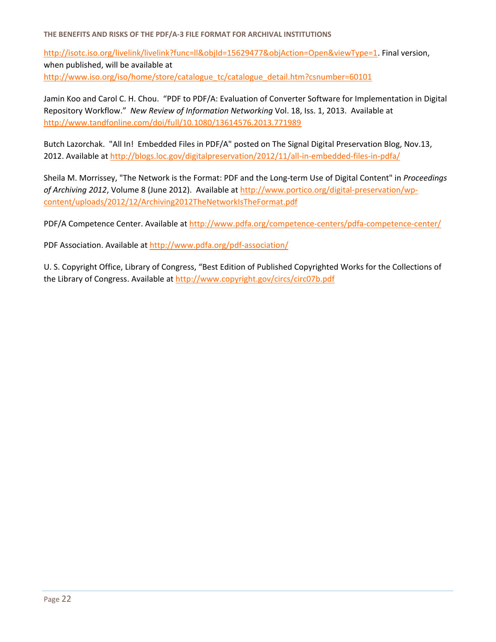[http://isotc.iso.org/livelink/livelink?func=ll&objId=15629477&objAction=Open&viewType=1.](http://isotc.iso.org/livelink/livelink?func=ll&objId=15629477&objAction=Open&viewType=1) Final version, when published, will be available at [http://www.iso.org/iso/home/store/catalogue\\_tc/catalogue\\_detail.htm?csnumber=60101](http://www.iso.org/iso/home/store/catalogue_tc/catalogue_detail.htm?csnumber=60101)

Jamin Koo and Carol C. H. Chou. "PDF to PDF/A: Evaluation of Converter Software for Implementation in Digital Repository Workflow." *New Review of Information Networking* Vol. 18, Iss. 1, 2013. Available at <http://www.tandfonline.com/doi/full/10.1080/13614576.2013.771989>

Butch Lazorchak. "All In! Embedded Files in PDF/A" posted on The Signal Digital Preservation Blog, Nov.13, 2012. Available at<http://blogs.loc.gov/digitalpreservation/2012/11/all-in-embedded-files-in-pdfa/>

Sheila M. Morrissey, "The Network is the Format: PDF and the Long-term Use of Digital Content" in *Proceedings of Archiving 2012*, Volume 8 (June 2012). Available a[t http://www.portico.org/digital-preservation/wp](http://www.portico.org/digital-preservation/wp-content/uploads/2012/12/Archiving2012TheNetworkIsTheFormat.pdf)[content/uploads/2012/12/Archiving2012TheNetworkIsTheFormat.pdf](http://www.portico.org/digital-preservation/wp-content/uploads/2012/12/Archiving2012TheNetworkIsTheFormat.pdf)

PDF/A Competence Center. Available at<http://www.pdfa.org/competence-centers/pdfa-competence-center/>

PDF Association. Available at<http://www.pdfa.org/pdf-association/>

U. S. Copyright Office, Library of Congress, "Best Edition of Published Copyrighted Works for the Collections of the Library of Congress. Available at http://www.copyright.gov/circs/circ07b.pdf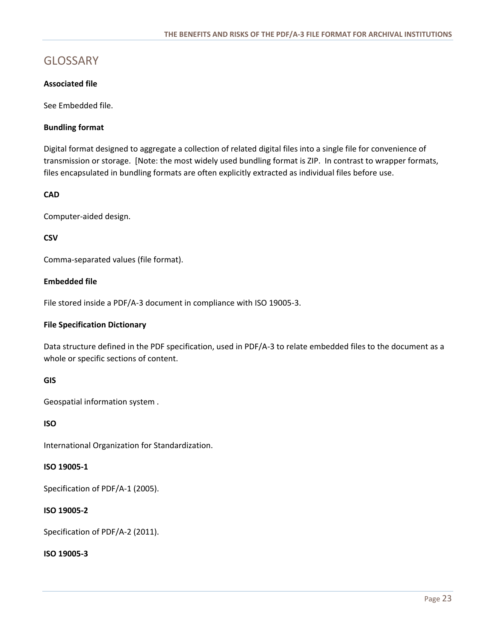### <span id="page-23-0"></span>GLOSSARY

### **Associated file**

See Embedded file.

### **Bundling format**

Digital format designed to aggregate a collection of related digital files into a single file for convenience of transmission or storage. [Note: the most widely used bundling format is ZIP. In contrast to wrapper formats, files encapsulated in bundling formats are often explicitly extracted as individual files before use.

### **CAD**

Computer-aided design.

#### **CSV**

Comma-separated values (file format).

### **Embedded file**

File stored inside a PDF/A-3 document in compliance with ISO 19005-3.

#### **File Specification Dictionary**

Data structure defined in the PDF specification, used in PDF/A-3 to relate embedded files to the document as a whole or specific sections of content.

### **GIS**

Geospatial information system .

### **ISO**

International Organization for Standardization.

#### **ISO 19005-1**

Specification of PDF/A-1 (2005).

### **ISO 19005-2**

Specification of PDF/A-2 (2011).

#### **ISO 19005-3**